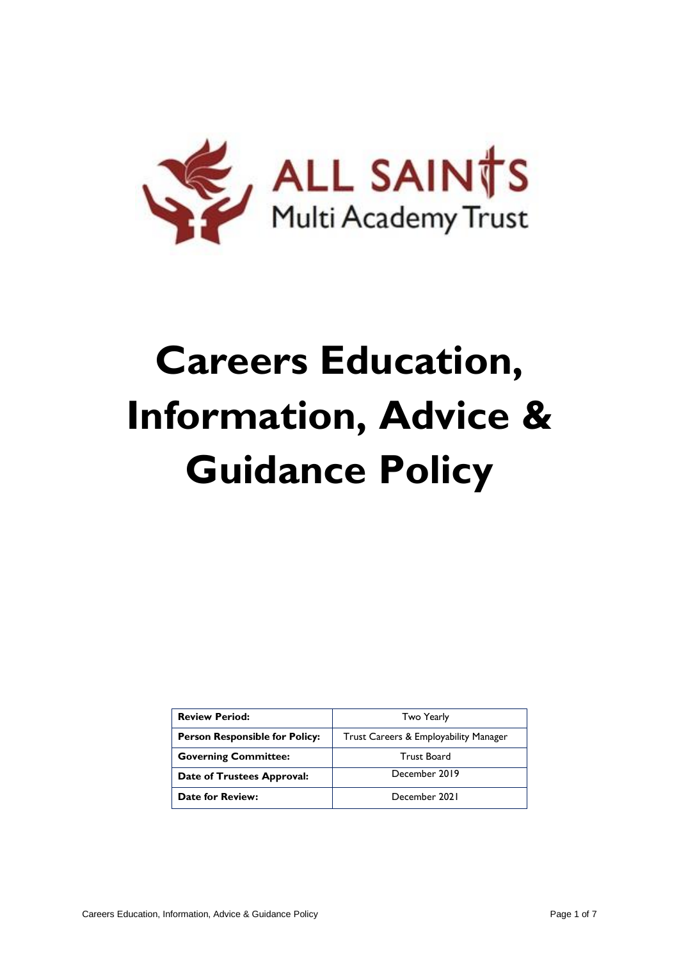

# **Careers Education, Information, Advice & Guidance Policy**

| <b>Review Period:</b>                 | Two Yearly                            |
|---------------------------------------|---------------------------------------|
| <b>Person Responsible for Policy:</b> | Trust Careers & Employability Manager |
| <b>Governing Committee:</b>           | <b>Trust Board</b>                    |
| Date of Trustees Approval:            | December 2019                         |
| <b>Date for Review:</b>               | December 2021                         |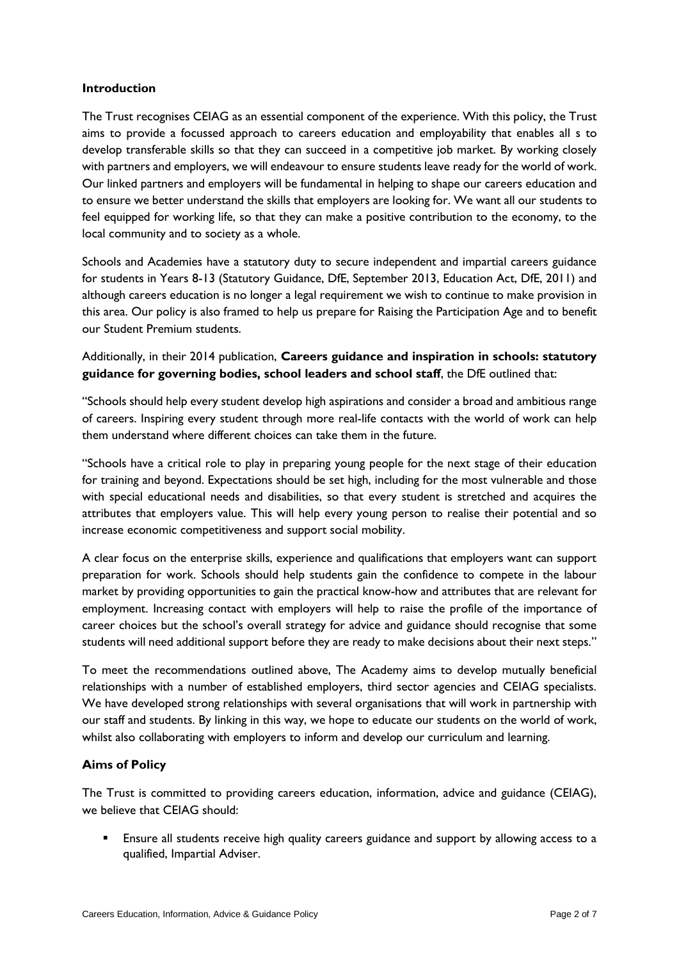### **Introduction**

The Trust recognises CEIAG as an essential component of the experience. With this policy, the Trust aims to provide a focussed approach to careers education and employability that enables all s to develop transferable skills so that they can succeed in a competitive job market. By working closely with partners and employers, we will endeavour to ensure students leave ready for the world of work. Our linked partners and employers will be fundamental in helping to shape our careers education and to ensure we better understand the skills that employers are looking for. We want all our students to feel equipped for working life, so that they can make a positive contribution to the economy, to the local community and to society as a whole.

Schools and Academies have a statutory duty to secure independent and impartial careers guidance for students in Years 8-13 (Statutory Guidance, DfE, September 2013, Education Act, DfE, 2011) and although careers education is no longer a legal requirement we wish to continue to make provision in this area. Our policy is also framed to help us prepare for Raising the Participation Age and to benefit our Student Premium students.

Additionally, in their 2014 publication, **Careers guidance and inspiration in schools: statutory guidance for governing bodies, school leaders and school staff**, the DfE outlined that:

"Schools should help every student develop high aspirations and consider a broad and ambitious range of careers. Inspiring every student through more real-life contacts with the world of work can help them understand where different choices can take them in the future.

"Schools have a critical role to play in preparing young people for the next stage of their education for training and beyond. Expectations should be set high, including for the most vulnerable and those with special educational needs and disabilities, so that every student is stretched and acquires the attributes that employers value. This will help every young person to realise their potential and so increase economic competitiveness and support social mobility.

A clear focus on the enterprise skills, experience and qualifications that employers want can support preparation for work. Schools should help students gain the confidence to compete in the labour market by providing opportunities to gain the practical know-how and attributes that are relevant for employment. Increasing contact with employers will help to raise the profile of the importance of career choices but the school's overall strategy for advice and guidance should recognise that some students will need additional support before they are ready to make decisions about their next steps."

To meet the recommendations outlined above, The Academy aims to develop mutually beneficial relationships with a number of established employers, third sector agencies and CEIAG specialists. We have developed strong relationships with several organisations that will work in partnership with our staff and students. By linking in this way, we hope to educate our students on the world of work, whilst also collaborating with employers to inform and develop our curriculum and learning.

#### **Aims of Policy**

The Trust is committed to providing careers education, information, advice and guidance (CEIAG), we believe that CEIAG should:

 Ensure all students receive high quality careers guidance and support by allowing access to a qualified, Impartial Adviser.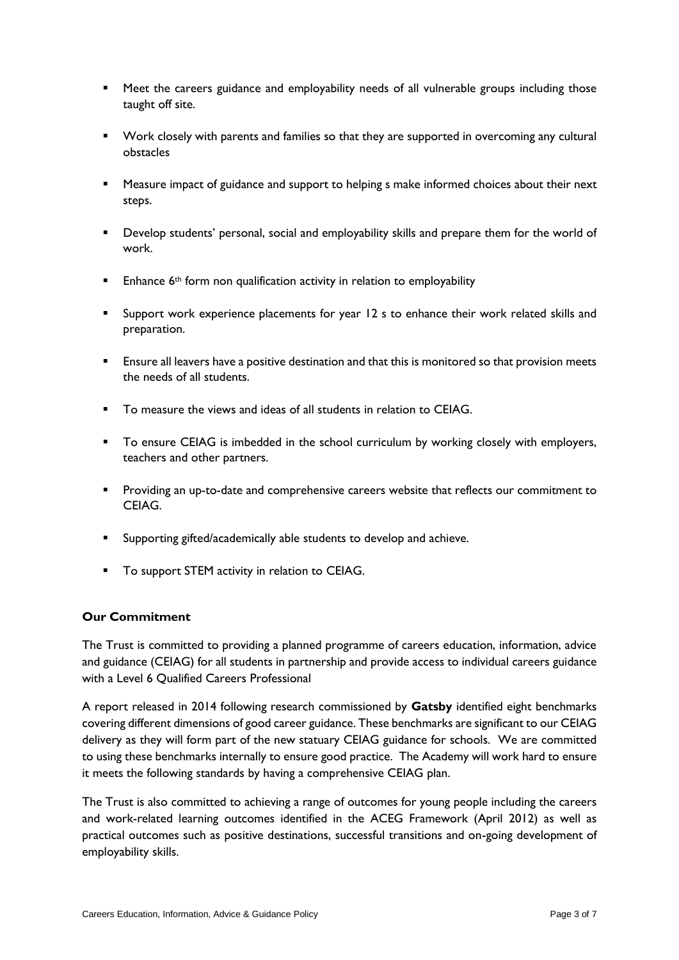- Meet the careers guidance and employability needs of all vulnerable groups including those taught off site.
- Work closely with parents and families so that they are supported in overcoming any cultural obstacles
- Measure impact of guidance and support to helping s make informed choices about their next steps.
- Develop students' personal, social and employability skills and prepare them for the world of work.
- Enhance 6th form non qualification activity in relation to employability
- Support work experience placements for year 12 s to enhance their work related skills and preparation.
- **Ensure all leavers have a positive destination and that this is monitored so that provision meets** the needs of all students.
- To measure the views and ideas of all students in relation to CEIAG.
- To ensure CEIAG is imbedded in the school curriculum by working closely with employers, teachers and other partners.
- Providing an up-to-date and comprehensive careers website that reflects our commitment to CEIAG.
- Supporting gifted/academically able students to develop and achieve.
- **TO support STEM activity in relation to CEIAG.**

#### **Our Commitment**

The Trust is committed to providing a planned programme of careers education, information, advice and guidance (CEIAG) for all students in partnership and provide access to individual careers guidance with a Level 6 Qualified Careers Professional

A report released in 2014 following research commissioned by **Gatsby** identified eight benchmarks covering different dimensions of good career guidance. These benchmarks are significant to our CEIAG delivery as they will form part of the new statuary CEIAG guidance for schools. We are committed to using these benchmarks internally to ensure good practice. The Academy will work hard to ensure it meets the following standards by having a comprehensive CEIAG plan.

The Trust is also committed to achieving a range of outcomes for young people including the careers and work-related learning outcomes identified in the ACEG Framework (April 2012) as well as practical outcomes such as positive destinations, successful transitions and on-going development of employability skills.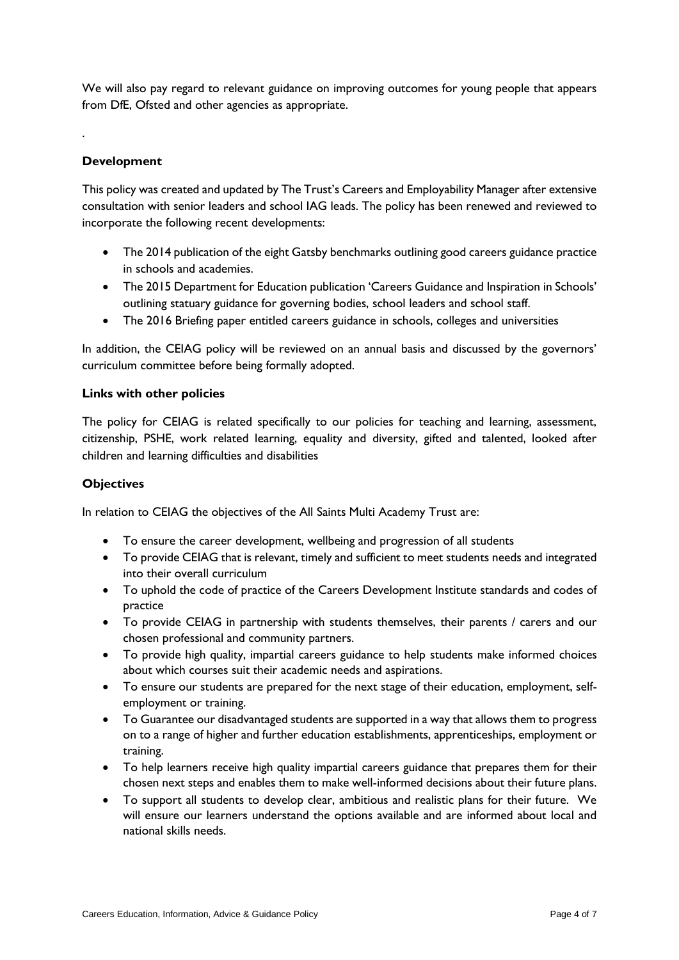We will also pay regard to relevant guidance on improving outcomes for young people that appears from DfE, Ofsted and other agencies as appropriate.

# **Development**

.

This policy was created and updated by The Trust's Careers and Employability Manager after extensive consultation with senior leaders and school IAG leads. The policy has been renewed and reviewed to incorporate the following recent developments:

- The 2014 publication of the eight Gatsby benchmarks outlining good careers guidance practice in schools and academies.
- The 2015 Department for Education publication 'Careers Guidance and Inspiration in Schools' outlining statuary guidance for governing bodies, school leaders and school staff.
- The 2016 Briefing paper entitled careers guidance in schools, colleges and universities

In addition, the CEIAG policy will be reviewed on an annual basis and discussed by the governors' curriculum committee before being formally adopted.

#### **Links with other policies**

The policy for CEIAG is related specifically to our policies for teaching and learning, assessment, citizenship, PSHE, work related learning, equality and diversity, gifted and talented, looked after children and learning difficulties and disabilities

#### **Objectives**

In relation to CEIAG the objectives of the All Saints Multi Academy Trust are:

- To ensure the career development, wellbeing and progression of all students
- To provide CEIAG that is relevant, timely and sufficient to meet students needs and integrated into their overall curriculum
- To uphold the code of practice of the Careers Development Institute standards and codes of practice
- To provide CEIAG in partnership with students themselves, their parents / carers and our chosen professional and community partners.
- To provide high quality, impartial careers guidance to help students make informed choices about which courses suit their academic needs and aspirations.
- To ensure our students are prepared for the next stage of their education, employment, selfemployment or training.
- To Guarantee our disadvantaged students are supported in a way that allows them to progress on to a range of higher and further education establishments, apprenticeships, employment or training.
- To help learners receive high quality impartial careers guidance that prepares them for their chosen next steps and enables them to make well-informed decisions about their future plans.
- To support all students to develop clear, ambitious and realistic plans for their future. We will ensure our learners understand the options available and are informed about local and national skills needs.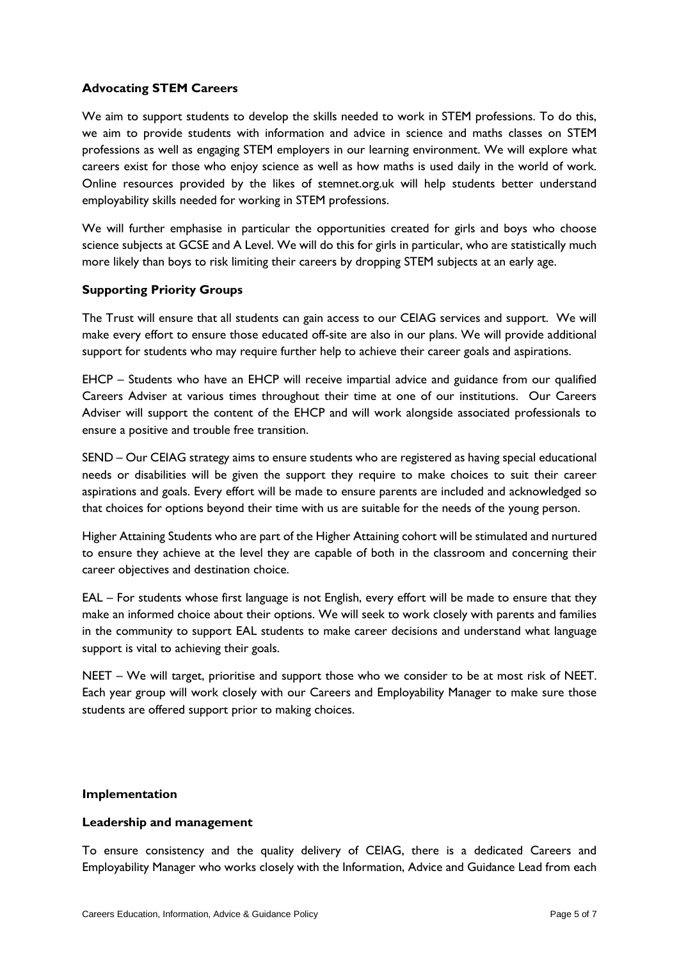# **Advocating STEM Careers**

We aim to support students to develop the skills needed to work in STEM professions. To do this, we aim to provide students with information and advice in science and maths classes on STEM professions as well as engaging STEM employers in our learning environment. We will explore what careers exist for those who enjoy science as well as how maths is used daily in the world of work. Online resources provided by the likes of stemnet.org.uk will help students better understand employability skills needed for working in STEM professions.

We will further emphasise in particular the opportunities created for girls and boys who choose science subjects at GCSE and A Level. We will do this for girls in particular, who are statistically much more likely than boys to risk limiting their careers by dropping STEM subjects at an early age.

# **Supporting Priority Groups**

The Trust will ensure that all students can gain access to our CEIAG services and support. We will make every effort to ensure those educated off-site are also in our plans. We will provide additional support for students who may require further help to achieve their career goals and aspirations.

EHCP – Students who have an EHCP will receive impartial advice and guidance from our qualified Careers Adviser at various times throughout their time at one of our institutions. Our Careers Adviser will support the content of the EHCP and will work alongside associated professionals to ensure a positive and trouble free transition.

SEND – Our CEIAG strategy aims to ensure students who are registered as having special educational needs or disabilities will be given the support they require to make choices to suit their career aspirations and goals. Every effort will be made to ensure parents are included and acknowledged so that choices for options beyond their time with us are suitable for the needs of the young person.

Higher Attaining Students who are part of the Higher Attaining cohort will be stimulated and nurtured to ensure they achieve at the level they are capable of both in the classroom and concerning their career objectives and destination choice.

EAL – For students whose first language is not English, every effort will be made to ensure that they make an informed choice about their options. We will seek to work closely with parents and families in the community to support EAL students to make career decisions and understand what language support is vital to achieving their goals.

NEET – We will target, prioritise and support those who we consider to be at most risk of NEET. Each year group will work closely with our Careers and Employability Manager to make sure those students are offered support prior to making choices.

#### **Implementation**

# **Leadership and management**

To ensure consistency and the quality delivery of CEIAG, there is a dedicated Careers and Employability Manager who works closely with the Information, Advice and Guidance Lead from each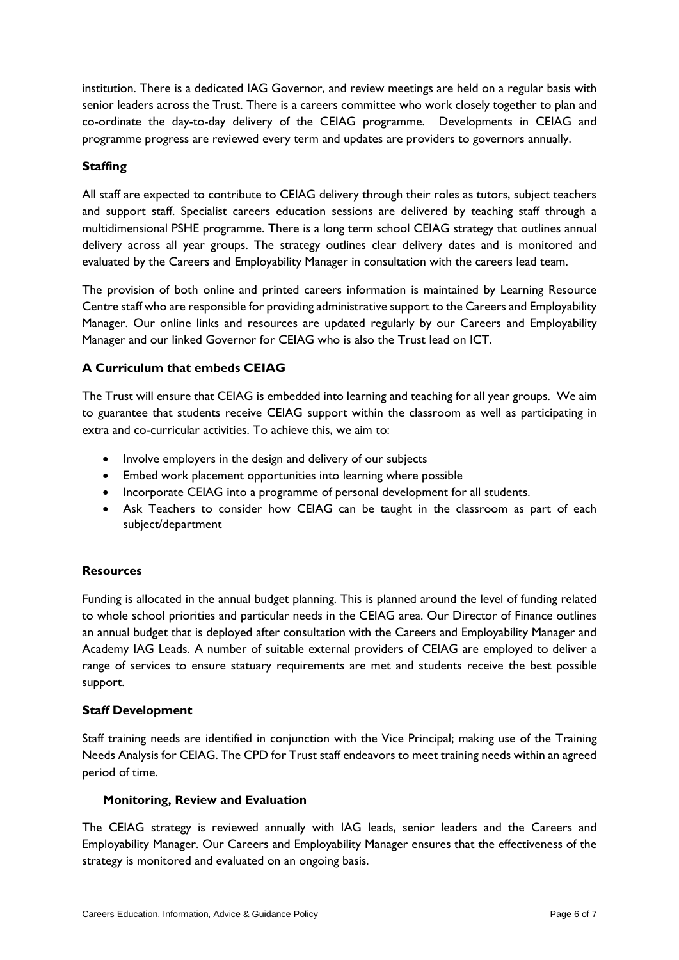institution. There is a dedicated IAG Governor, and review meetings are held on a regular basis with senior leaders across the Trust. There is a careers committee who work closely together to plan and co-ordinate the day-to-day delivery of the CEIAG programme. Developments in CEIAG and programme progress are reviewed every term and updates are providers to governors annually.

# **Staffing**

All staff are expected to contribute to CEIAG delivery through their roles as tutors, subject teachers and support staff. Specialist careers education sessions are delivered by teaching staff through a multidimensional PSHE programme. There is a long term school CEIAG strategy that outlines annual delivery across all year groups. The strategy outlines clear delivery dates and is monitored and evaluated by the Careers and Employability Manager in consultation with the careers lead team.

The provision of both online and printed careers information is maintained by Learning Resource Centre staff who are responsible for providing administrative support to the Careers and Employability Manager. Our online links and resources are updated regularly by our Careers and Employability Manager and our linked Governor for CEIAG who is also the Trust lead on ICT.

# **A Curriculum that embeds CEIAG**

The Trust will ensure that CEIAG is embedded into learning and teaching for all year groups. We aim to guarantee that students receive CEIAG support within the classroom as well as participating in extra and co-curricular activities. To achieve this, we aim to:

- Involve employers in the design and delivery of our subjects
- Embed work placement opportunities into learning where possible
- Incorporate CEIAG into a programme of personal development for all students.
- Ask Teachers to consider how CEIAG can be taught in the classroom as part of each subject/department

# **Resources**

Funding is allocated in the annual budget planning. This is planned around the level of funding related to whole school priorities and particular needs in the CEIAG area. Our Director of Finance outlines an annual budget that is deployed after consultation with the Careers and Employability Manager and Academy IAG Leads. A number of suitable external providers of CEIAG are employed to deliver a range of services to ensure statuary requirements are met and students receive the best possible support.

# **Staff Development**

Staff training needs are identified in conjunction with the Vice Principal; making use of the Training Needs Analysis for CEIAG. The CPD for Trust staff endeavors to meet training needs within an agreed period of time.

# **Monitoring, Review and Evaluation**

The CEIAG strategy is reviewed annually with IAG leads, senior leaders and the Careers and Employability Manager. Our Careers and Employability Manager ensures that the effectiveness of the strategy is monitored and evaluated on an ongoing basis.